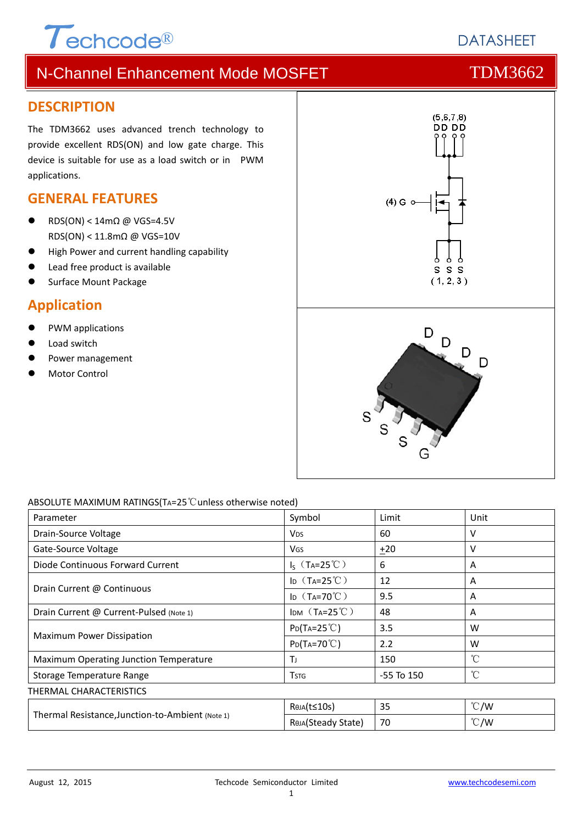# $\tau$ <sub>echcode®</sub>

# **DATASHEFT**

# N-Channel Enhancement Mode MOSFET TOM3662

#### **DESCRIPTION**

The TDM3662 uses advanced trench technology to provide excellent RDS(ON) and low gate charge. This device is suitable for use as a load switch or in PWM applications.

### **GENERAL FEATURES**

- RDS(ON) < 14mΩ @ VGS=4.5V RDS(ON) < 11.8mΩ @ VGS=10V
- High Power and current handling capability
- Lead free product is available
- Surface Mount Package

### **Application**

- PWM applications
- Load switch
- Power management
- Motor Control



#### ABSOLUTE MAXIMUM RATINGS(TA=25℃unless otherwise noted)

| Parameter                                        | Symbol                              | Limit          | Unit          |  |  |  |
|--------------------------------------------------|-------------------------------------|----------------|---------------|--|--|--|
| Drain-Source Voltage                             | <b>V<sub>DS</sub></b>               | 60             | v             |  |  |  |
| Gate-Source Voltage                              | <b>V<sub>GS</sub></b>               | $+20$          | v             |  |  |  |
| Diode Continuous Forward Current                 | $I_S$ (T <sub>A</sub> =25°C)        | 6              | A             |  |  |  |
|                                                  | ID $(T_A=25^{\circ}\text{C})$       | 12             | A             |  |  |  |
| Drain Current @ Continuous                       | I <sub>D</sub> $(T_A=70^{\circ}$ C) | 9.5            | A             |  |  |  |
| Drain Current @ Current-Pulsed (Note 1)          | IDM $(T_A=25^{\circ}C)$             | 48             | A             |  |  |  |
|                                                  | $P_{D}(Ta=25^{\circ}C)$             | 3.5            | W             |  |  |  |
| Maximum Power Dissipation                        | $P_{D}(Ta=70^{\circ}C)$             | 2.2            | W             |  |  |  |
| Maximum Operating Junction Temperature           | Τı                                  | 150            | °C            |  |  |  |
| Storage Temperature Range                        | <b>T</b> <sub>STG</sub>             | $-55$ To $150$ | °C            |  |  |  |
| THERMAL CHARACTERISTICS                          |                                     |                |               |  |  |  |
|                                                  | ReJA(t≤10s)                         | 35             | $\degree$ C/W |  |  |  |
| Thermal Resistance, Junction-to-Ambient (Note 1) | Reja(Steady State)                  | 70             | $\degree$ C/W |  |  |  |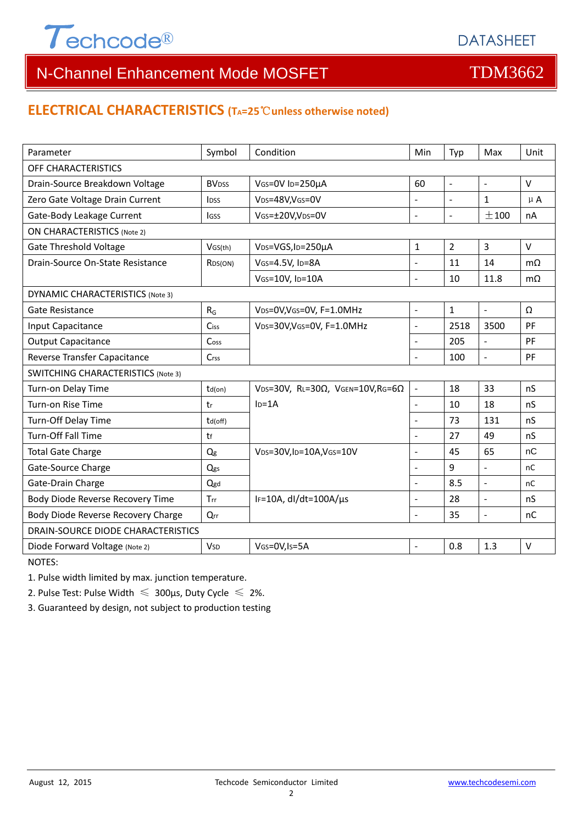

### **ELECTRICAL CHARACTERISTICS (TA=25**℃**unless otherwise noted)**

| Parameter                                 | Symbol                   | Condition                                         | Min                      | Typ              | Max            | Unit          |  |  |
|-------------------------------------------|--------------------------|---------------------------------------------------|--------------------------|------------------|----------------|---------------|--|--|
| OFF CHARACTERISTICS                       |                          |                                                   |                          |                  |                |               |  |  |
| Drain-Source Breakdown Voltage            | <b>BV</b> <sub>DSS</sub> | 60<br>VGS=0V ID=250µA                             |                          | $\overline{a}$   | $\sim$         | $\vee$        |  |  |
| Zero Gate Voltage Drain Current           | <b>l</b> <sub>DSS</sub>  | VDS=48V, VGS=0V                                   | $\overline{a}$           | $\mathbb{L}$     | $\mathbf{1}$   | $\mu$ A       |  |  |
| Gate-Body Leakage Current                 | <b>IGSS</b>              | VGS=±20V,VDS=0V                                   | $\overline{a}$           | $\blacksquare$   | ±100           | nA            |  |  |
| <b>ON CHARACTERISTICS (Note 2)</b>        |                          |                                                   |                          |                  |                |               |  |  |
| <b>Gate Threshold Voltage</b>             | VGS(th)                  | V <sub>DS</sub> =VGS, I <sub>D</sub> =250µA       | $\mathbf{1}$             | $\overline{2}$   | $\overline{3}$ | $\vee$        |  |  |
| Drain-Source On-State Resistance          | R <sub>DS</sub> (ON)     | VGS=4.5V, ID=8A                                   | $\overline{a}$           | 11               | 14             | $m\Omega$     |  |  |
|                                           |                          | VGS=10V, ID=10A                                   | $\overline{a}$           | 10               | 11.8           | $m\Omega$     |  |  |
| DYNAMIC CHARACTERISTICS (Note 3)          |                          |                                                   |                          |                  |                |               |  |  |
| <b>Gate Resistance</b>                    | $R_G$                    | VDS=0V, VGS=0V, F=1.0MHz                          | $\overline{\phantom{a}}$ | $\mathbf{1}$     | $\sim$         | Ω             |  |  |
| Input Capacitance                         | Ciss                     | VDS=30V, VGS=0V, F=1.0MHz                         | $\overline{a}$           | 2518             | 3500           | PF            |  |  |
| <b>Output Capacitance</b>                 | Coss                     |                                                   |                          | 205              | $\frac{1}{2}$  | PF            |  |  |
| Reverse Transfer Capacitance              | Crss                     |                                                   |                          | 100              | $\overline{a}$ | PF            |  |  |
| <b>SWITCHING CHARACTERISTICS (Note 3)</b> |                          |                                                   |                          |                  |                |               |  |  |
| Turn-on Delay Time                        | $td($ on $)$             | VDS=30V, RL=30 $\Omega$ , VGEN=10V, RG=6 $\Omega$ | $\bar{\mathcal{L}}$      | 18               | 33             | nS            |  |  |
| Turn-on Rise Time                         | tr                       | $ID=1A$                                           | $\overline{\phantom{a}}$ | 10               | 18             | nS            |  |  |
| Turn-Off Delay Time                       | td(off)                  |                                                   |                          | 73               | 131            | nS            |  |  |
| Turn-Off Fall Time                        | tf                       |                                                   | $\overline{a}$           | 27               | 49             | nS            |  |  |
| <b>Total Gate Charge</b>                  | Qg                       | VDS=30V,ID=10A,VGS=10V                            | $\overline{a}$           | 45               | 65             | nC            |  |  |
| Gate-Source Charge                        | Qgs                      |                                                   |                          | $\boldsymbol{9}$ | $\overline{a}$ | <sub>nC</sub> |  |  |
| Gate-Drain Charge                         | Qgd                      |                                                   | $\overline{a}$           | 8.5              | $\frac{1}{2}$  | nC            |  |  |
| Body Diode Reverse Recovery Time          | Trr                      | IF=10A, $dl/dt=100A/\mu s$                        | $\overline{a}$           | 28               | $\frac{1}{2}$  | nS            |  |  |
| Body Diode Reverse Recovery Charge        | Qrr                      |                                                   | $\overline{a}$           | 35               | $\Box$         | nC            |  |  |
| DRAIN-SOURCE DIODE CHARACTERISTICS        |                          |                                                   |                          |                  |                |               |  |  |
| Diode Forward Voltage (Note 2)            | <b>V</b> sp              | VGS=0V, Is=5A                                     |                          | 0.8              | 1.3            | $\sf V$       |  |  |

NOTES:

1. Pulse width limited by max. junction temperature.

2. Pulse Test: Pulse Width  $\leq 300$ μs, Duty Cycle  $\leq 2\%$ .

3. Guaranteed by design, not subject to production testing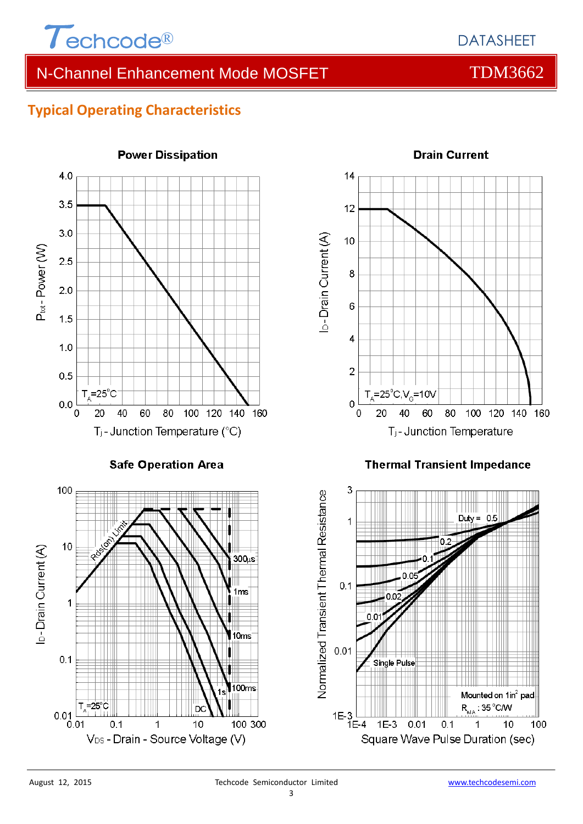

# **Typical Operating Characteristics**



**Power Dissipation** 



**Drain Current** 

#### **Thermal Transient Impedance**

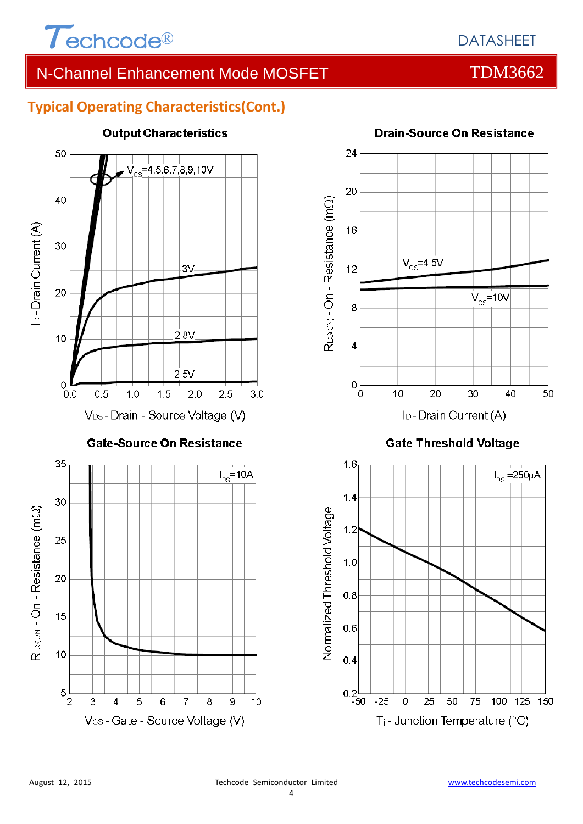

# **Typical Operating Characteristics(Cont.)**



### **Output Characteristics**



**Gate Threshold Voltage** 



# **Drain-Source On Resistance**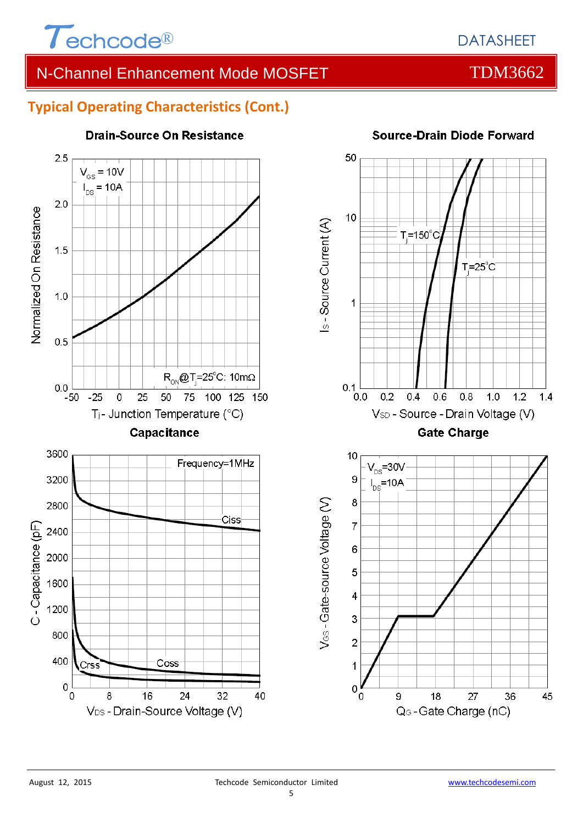

# **Typical Operating Characteristics (Cont.)**



#### **Drain-Source On Resistance**



### **Source-Drain Diode Forward**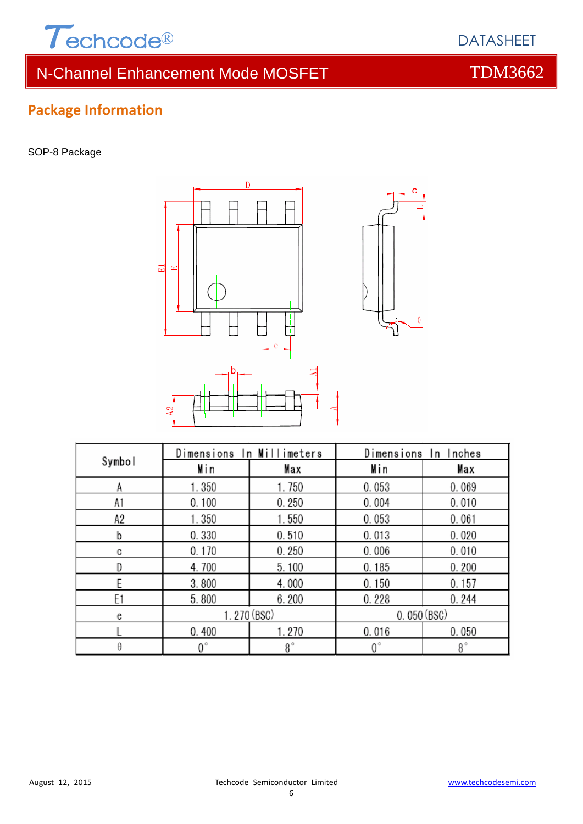

# **Package Information**

SOP-8 Package



| Symbol | Dimensions In Millimeters |             | Dimensions In Inches |       |  |
|--------|---------------------------|-------------|----------------------|-------|--|
|        | Min                       | Max         | Min                  | Max   |  |
| А      | 1.350                     | 1.750       | 0.053                | 0.069 |  |
| A1     | 0.100                     | 0.250       | 0.004                | 0.010 |  |
| A2     | 1.350                     | 1.550       | 0.053                | 0.061 |  |
| b      | 0.330                     | 0.510       | 0.013                | 0.020 |  |
| C      | 0.170                     | 0.250       | 0.006                | 0.010 |  |
|        | 4.700                     | 5.100       | 0.185                | 0.200 |  |
| F      | 3.800                     | 4.000       | 0.150                | 0.157 |  |
| E1     | 5.800                     | 6.200       | 0.228                | 0.244 |  |
| e      | 1.270 (BSC)               |             | 0.050(BSC)           |       |  |
|        | 0.400                     | 1.270       | 0.016                | 0.050 |  |
| θ      | $0^{\circ}$               | $8^{\circ}$ | $0^{\circ}$          | 8°    |  |



 $\boldsymbol{\theta}$